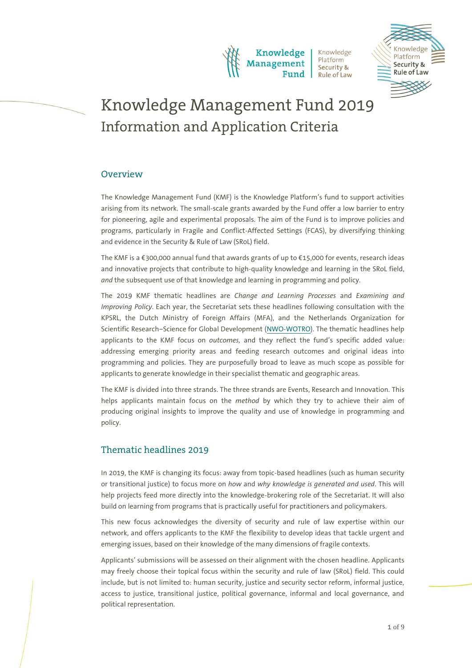

nowledge Platform Security & **Rule of Law** 

# Knowledge Management Fund 2019 Information and Application Criteria

# **Overview**

The Knowledge Management Fund (KMF) is the Knowledge Platform's fund to support activities arising from its network. The small-scale grants awarded by the Fund offer a low barrier to entry for pioneering, agile and experimental proposals. The aim of the Fund is to improve policies and programs, particularly in Fragile and Conflict-Affected Settings (FCAS), by diversifying thinking and evidence in the Security & Rule of Law (SRoL) field.

The KMF is a €300,000 annual fund that awards grants of up to €15,000 for events, research ideas and innovative projects that contribute to high-quality knowledge and learning in the SRoL field, *and* the subsequent use of that knowledge and learning in programming and policy.

The 2019 KMF thematic headlines are *Change and Learning Processes* and *Examining and Improving Policy*. Each year, the Secretariat sets these headlines following consultation with the KPSRL, the Dutch Ministry of Foreign Affairs (MFA), and the Netherlands Organization for Scientific Research–Science for Global Development [\(NWO-WOTRO\)](https://www.nwo.nl/en/about-nwo/organisation/nwo-domains/wotro). The thematic headlines help applicants to the KMF focus on *outcomes,* and they reflect the fund's specific added value: addressing emerging priority areas and feeding research outcomes and original ideas into programming and policies. They are purposefully broad to leave as much scope as possible for applicants to generate knowledge in their specialist thematic and geographic areas.

The KMF is divided into three strands. The three strands are Events, Research and Innovation. This helps applicants maintain focus on the *method* by which they try to achieve their aim of producing original insights to improve the quality and use of knowledge in programming and policy.

# Thematic headlines 2019

In 2019, the KMF is changing its focus: away from topic-based headlines (such as human security or transitional justice) to focus more on *how* and *why knowledge is generated and used*. This will help projects feed more directly into the knowledge-brokering role of the Secretariat. It will also build on learning from programs that is practically useful for practitioners and policymakers.

This new focus acknowledges the diversity of security and rule of law expertise within our network, and offers applicants to the KMF the flexibility to develop ideas that tackle urgent and emerging issues, based on their knowledge of the many dimensions of fragile contexts.

Applicants' submissions will be assessed on their alignment with the chosen headline. Applicants may freely choose their topical focus within the security and rule of law (SRoL) field. This could include, but is not limited to: human security, justice and security sector reform, informal justice, access to justice, transitional justice, political governance, informal and local governance, and political representation.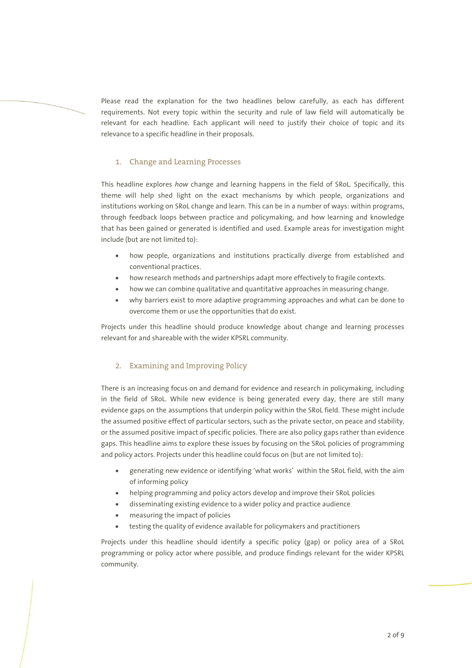Please read the explanation for the two headlines below carefully, as each has different requirements. Not every topic within the security and rule of law field will automatically be relevant for each headline. Each applicant will need to justify their choice of topic and its relevance to a specific headline in their proposals.

# 1. Change and Learning Processes

This headline explores *how* change and learning happens in the field of SRoL. Specifically, this theme will help shed light on the exact mechanisms by which people, organizations and institutions working on SRoL change and learn. This can be in a number of ways: within programs, through feedback loops between practice and policymaking, and how learning and knowledge that has been gained or generated is identified and used. Example areas for investigation might include (but are not limited to):

- how people, organizations and institutions practically diverge from established and conventional practices.
- how research methods and partnerships adapt more effectively to fragile contexts.
- how we can combine qualitative and quantitative approaches in measuring change.
- why barriers exist to more adaptive programming approaches and what can be done to overcome them or use the opportunities that do exist.

Projects under this headline should produce knowledge about change and learning processes relevant for and shareable with the wider KPSRL community.

#### 2. Examining and Improving Policy

There is an increasing focus on and demand for evidence and research in policymaking, including in the field of SRoL. While new evidence is being generated every day, there are still many evidence gaps on the assumptions that underpin policy within the SRoL field. These might include the assumed positive effect of particular sectors, such as the private sector, on peace and stability, or the assumed positive impact of specific policies. There are also policy gaps rather than evidence gaps. This headline aims to explore these issues by focusing on the SRoL policies of programming and policy actors. Projects under this headline could focus on (but are not limited to):

- generating new evidence or identifying 'what works' within the SRoL field, with the aim of informing policy
- helping programming and policy actors develop and improve their SRoL policies
- disseminating existing evidence to a wider policy and practice audience
- measuring the impact of policies
- testing the quality of evidence available for policymakers and practitioners

Projects under this headline should identify a specific policy (gap) or policy area of a SRoL programming or policy actor where possible, and produce findings relevant for the wider KPSRL community.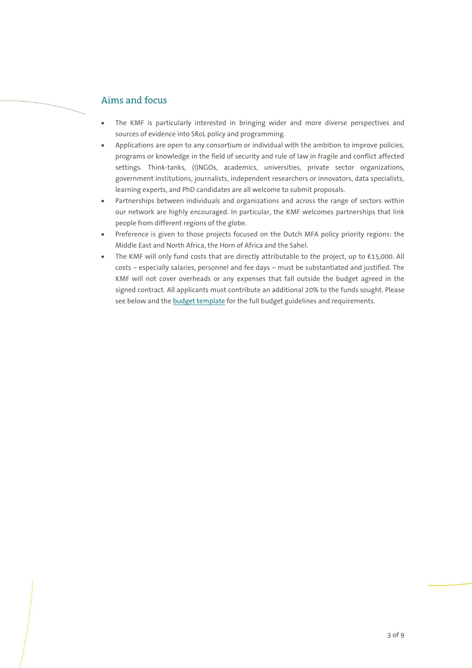# Aims and focus

- The KMF is particularly interested in bringing wider and more diverse perspectives and sources of evidence into SRoL policy and programming.
- Applications are open to any consortium or individual with the ambition to improve policies, programs or knowledge in the field of security and rule of law in fragile and conflict affected settings. Think-tanks, (I)NGOs, academics, universities, private sector organizations, government institutions, journalists, independent researchers or innovators, data specialists, learning experts, and PhD candidates are all welcome to submit proposals.
- Partnerships between individuals and organizations and across the range of sectors within our network are highly encouraged. In particular, the KMF welcomes partnerships that link people from different regions of the globe.
- Preference is given to those projects focused on the Dutch MFA policy priority regions: the Middle East and North Africa, the Horn of Africa and the Sahel.
- The KMF will only fund costs that are directly attributable to the project, up to €15,000. All costs – especially salaries, personnel and fee days – must be substantiated and justified. The KMF will not cover overheads or any expenses that fall outside the budget agreed in the signed contract. All applicants must contribute an additional 20% to the funds sought. Please see below and the [budget template](https://www.kpsrl.org/sites/default/files/2019-03/KMF%20-%20Budget%20Proposal%20Template.xlsx) for the full budget guidelines and requirements.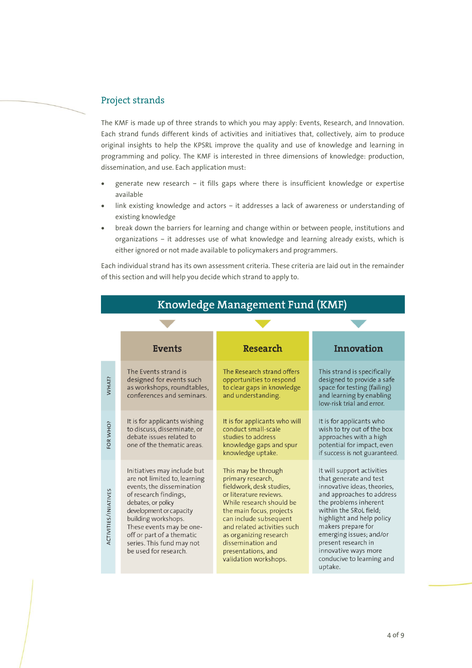# Project strands

The KMF is made up of three strands to which you may apply: Events, Research, and Innovation. Each strand funds different kinds of activities and initiatives that, collectively, aim to produce original insights to help the KPSRL improve the quality and use of knowledge and learning in programming and policy. The KMF is interested in three dimensions of knowledge: production, dissemination, and use. Each application must:

- generate new research it fills gaps where there is insufficient knowledge or expertise available
- link existing knowledge and actors it addresses a lack of awareness or understanding of existing knowledge
- break down the barriers for learning and change within or between people, institutions and organizations – it addresses use of what knowledge and learning already exists, which is either ignored or not made available to policymakers and programmers.

Each individual strand has its own assessment criteria. These criteria are laid out in the remainder of this section and will help you decide which strand to apply to.

|                             | <b>Events</b>                                                                                                                                                                                                                                                                                            | <b>Research</b>                                                                                                                                                                                                                                                                                               | <b>Innovation</b>                                                                                                                                                                                                                                                                                                                        |  |
|-----------------------------|----------------------------------------------------------------------------------------------------------------------------------------------------------------------------------------------------------------------------------------------------------------------------------------------------------|---------------------------------------------------------------------------------------------------------------------------------------------------------------------------------------------------------------------------------------------------------------------------------------------------------------|------------------------------------------------------------------------------------------------------------------------------------------------------------------------------------------------------------------------------------------------------------------------------------------------------------------------------------------|--|
| WHAT?                       | The Events strand is<br>designed for events such<br>as workshops, roundtables,<br>conferences and seminars.                                                                                                                                                                                              | The Research strand offers<br>opportunities to respond<br>to clear gaps in knowledge<br>and understanding.                                                                                                                                                                                                    | This strand is specifically<br>designed to provide a safe<br>space for testing (failing)<br>and learning by enabling<br>low-risk trial and error.                                                                                                                                                                                        |  |
| FOR WHO?                    | It is for applicants wishing<br>to discuss, disseminate, or<br>debate issues related to<br>one of the thematic areas.                                                                                                                                                                                    | It is for applicants who will<br>conduct small-scale<br>studies to address<br>knowledge gaps and spur<br>knowledge uptake.                                                                                                                                                                                    | It is for applicants who<br>wish to try out of the box<br>approaches with a high<br>potential for impact, even<br>if success is not guaranteed.                                                                                                                                                                                          |  |
| <b>ACTIVITIES/INIATIVES</b> | Initiatives may include but<br>are not limited to, learning<br>events, the dissemination<br>of research findings,<br>debates, or policy<br>development or capacity<br>building workshops.<br>These events may be one-<br>off or part of a thematic<br>series. This fund may not<br>be used for research. | This may be through<br>primary research,<br>fieldwork, desk studies,<br>or literature reviews.<br>While research should be<br>the main focus, projects<br>can include subsequent<br>and related activities such<br>as organizing research<br>dissemination and<br>presentations, and<br>validation workshops. | It will support activities<br>that generate and test<br>innovative ideas, theories,<br>and approaches to address<br>the problems inherent<br>within the SRoL field;<br>highlight and help policy<br>makers prepare for<br>emerging issues; and/or<br>present research in<br>innovative ways more<br>conducive to learning and<br>uptake. |  |

# Knowledge Management Fund (KMF)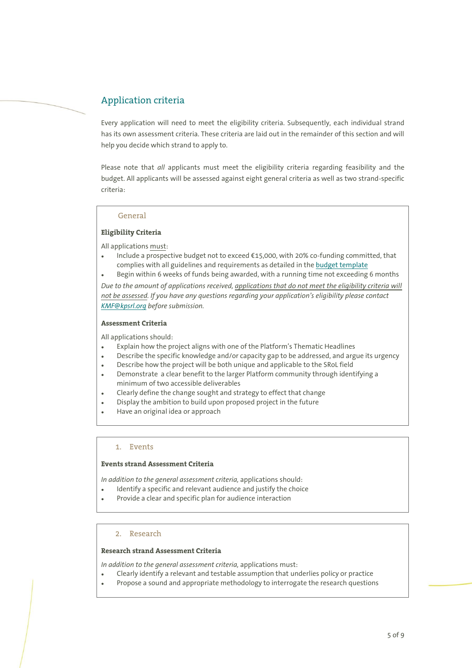# Application criteria

Every application will need to meet the eligibility criteria. Subsequently, each individual strand has its own assessment criteria. These criteria are laid out in the remainder of this section and will help you decide which strand to apply to.

Please note that *all* applicants must meet the eligibility criteria regarding feasibility and the budget. All applicants will be assessed against eight general criteria as well as two strand-specific criteria:

## General

## **Eligibility Criteria**

All applications must:

- Include a prospective budget not to exceed €15,000, with 20% co-funding committed, that complies with all guidelines and requirements as detailed in th[e budget template](https://www.kpsrl.org/sites/default/files/2019-03/KMF%20-%20Budget%20Proposal%20Template.xlsx)
- Begin within 6 weeks of funds being awarded, with a running time not exceeding 6 months

*Due to the amount of applications received, applications that do not meet the eligibility criteria will not be assessed. If you have any questions regarding your application's eligibility please contact [KMF@kpsrl.org](mailto:KMF@kpsrl.org) before submission.*

## **Assessment Criteria**

All applications should:

- Explain how the project aligns with one of the Platform's Thematic Headlines
- Describe the specific knowledge and/or capacity gap to be addressed, and argue its urgency
- Describe how the project will be both unique and applicable to the SRoL field
- Demonstrate a clear benefit to the larger Platform community through identifying a minimum of two accessible deliverables
- Clearly define the change sought and strategy to effect that change
- Display the ambition to build upon proposed project in the future
- Have an original idea or approach

## 1. Events

## **Events strand Assessment Criteria**

*In addition to the general assessment criteria,* applications should:

- Identify a specific and relevant audience and justify the choice
- Provide a clear and specific plan for audience interaction

# 2. Research

# **Research strand Assessment Criteria**

*In addition to the general assessment criteria,* applications must:

- Clearly identify a relevant and testable assumption that underlies policy or practice
- Propose a sound and appropriate methodology to interrogate the research questions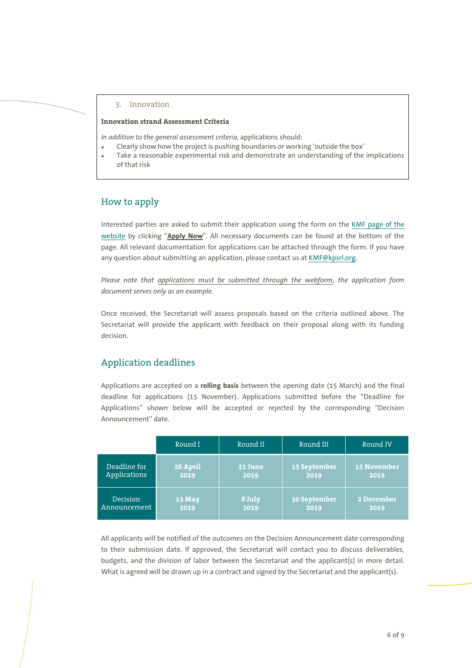#### 3. Innovation

# **Innovation strand Assessment Criteria**

*In addition to the general assessment criteria,* applications should:

- Clearly show how the project is pushing boundaries or working 'outside the box'
- Take a reasonable experimental risk and demonstrate an understanding of the implications of that risk

# How to apply

Interested parties are asked to submit their application using the form on the [KMF page of the](https://www.kpsrl.org/knowledge-management-fund)  [website](https://www.kpsrl.org/knowledge-management-fund) by clicking "**Apply Now**". All necessary documents can be found at the bottom of the page. All relevant documentation for applications can be attached through the form. If you have any question about submitting an application, please contact us a[t KMF@kpsrl.org.](mailto:KMF@kpsrl.org)

*Please note that applications must be submitted through the webform, the application form document serves only as an example.*

Once received, the Secretariat will assess proposals based on the criteria outlined above. The Secretariat will provide the applicant with feedback on their proposal along with its funding decision.

# Application deadlines

Applications are accepted on a **rolling basis** between the opening date (15 March) and the final deadline for applications (15 November). Applications submitted before the "Deadline for Applications" shown below will be accepted or rejected by the corresponding "Decision Announcement" date.

|                 | Round I  | Round II | Round III    | Round IV           |
|-----------------|----------|----------|--------------|--------------------|
| Deadline for    | 26 April | 21 June  | 13 September | <b>15 November</b> |
| Applications    | 2019     | 2019     | 2019         | 2019               |
| <b>Decision</b> | 13 May   | 8 July   | 30 September | 2 December         |
| Announcement    | 2019     | 2019     | 2019         | 2019               |

All applicants will be notified of the outcomes on the Decision Announcement date corresponding to their submission date. If approved, the Secretariat will contact you to discuss deliverables, budgets, and the division of labor between the Secretariat and the applicant(s) in more detail. What is agreed will be drawn up in a contract and signed by the Secretariat and the applicant(s).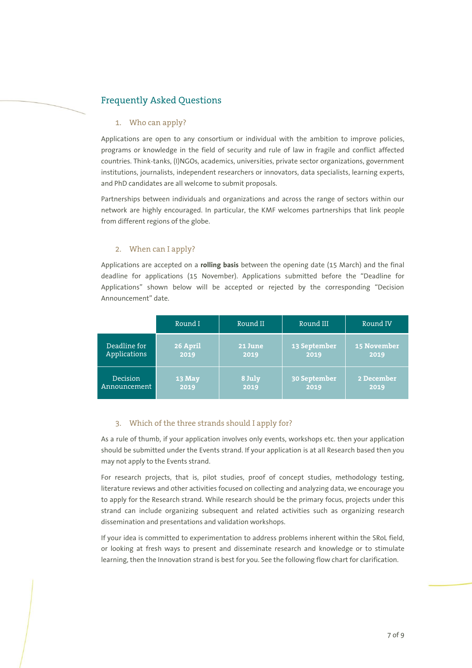# Frequently Asked Questions

## 1. Who can apply?

Applications are open to any consortium or individual with the ambition to improve policies, programs or knowledge in the field of security and rule of law in fragile and conflict affected countries. Think-tanks, (I)NGOs, academics, universities, private sector organizations, government institutions, journalists, independent researchers or innovators, data specialists, learning experts, and PhD candidates are all welcome to submit proposals.

Partnerships between individuals and organizations and across the range of sectors within our network are highly encouraged. In particular, the KMF welcomes partnerships that link people from different regions of the globe.

# 2. When can I apply?

Applications are accepted on a **rolling basis** between the opening date (15 March) and the final deadline for applications (15 November). Applications submitted before the "Deadline for Applications" shown below will be accepted or rejected by the corresponding "Decision Announcement" date.

|                 | Round I  | Round II | Round III    | Round IV           |
|-----------------|----------|----------|--------------|--------------------|
| Deadline for    | 26 April | 21 June  | 13 September | <b>15 November</b> |
| Applications    | 2019     | 2019     | 2019         | 2019               |
| <b>Decision</b> | 13 May   | 8 July   | 30 September | 2 December         |
| Announcement    | 2019     | 2019     | 2019         | 2019               |

## 3. Which of the three strands should I apply for?

As a rule of thumb, if your application involves only events, workshops etc. then your application should be submitted under the Events strand. If your application is at all Research based then you may not apply to the Events strand.

For research projects, that is, pilot studies, proof of concept studies, methodology testing, literature reviews and other activities focused on collecting and analyzing data, we encourage you to apply for the Research strand. While research should be the primary focus, projects under this strand can include organizing subsequent and related activities such as organizing research dissemination and presentations and validation workshops.

If your idea is committed to experimentation to address problems inherent within the SRoL field, or looking at fresh ways to present and disseminate research and knowledge or to stimulate learning, then the Innovation strand is best for you. See the following flow chart for clarification.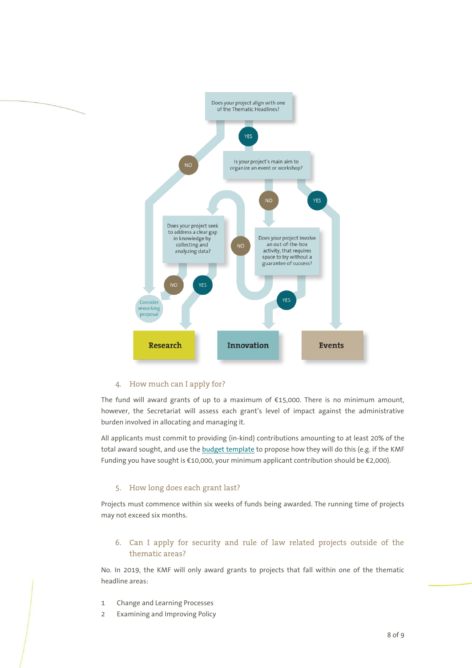

# 4. How much can I apply for?

The fund will award grants of up to a maximum of €15,000. There is no minimum amount, however, the Secretariat will assess each grant's level of impact against the administrative burden involved in allocating and managing it.

All applicants must commit to providing (in-kind) contributions amounting to at least 20% of the total award sought, and use the [budget template](https://www.kpsrl.org/sites/default/files/2019-03/KMF%20-%20Budget%20Proposal%20Template.xlsx) to propose how they will do this (e.g. if the KMF Funding you have sought is €10,000, your minimum applicant contribution should be €2,000).

## 5. How long does each grant last?

Projects must commence within six weeks of funds being awarded. The running time of projects may not exceed six months.

# 6. Can I apply for security and rule of law related projects outside of the thematic areas?

No. In 2019, the KMF will only award grants to projects that fall within one of the thematic headline areas:

- 1 Change and Learning Processes
- 2 Examining and Improving Policy